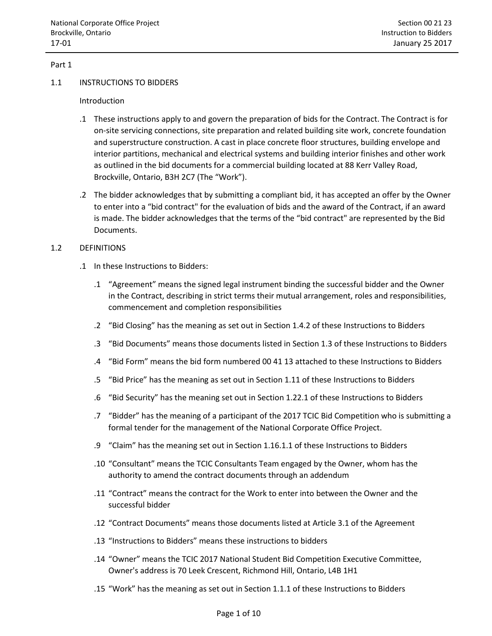## Part 1

#### 1.1 INSTRUCTIONS TO BIDDERS

## Introduction

- .1 These instructions apply to and govern the preparation of bids for the Contract. The Contract is for on-site servicing connections, site preparation and related building site work, concrete foundation and superstructure construction. A cast in place concrete floor structures, building envelope and interior partitions, mechanical and electrical systems and building interior finishes and other work as outlined in the bid documents for a commercial building located at 88 Kerr Valley Road, Brockville, Ontario, B3H 2C7 (The "Work").
- .2 The bidder acknowledges that by submitting a compliant bid, it has accepted an offer by the Owner to enter into a "bid contract" for the evaluation of bids and the award of the Contract, if an award is made. The bidder acknowledges that the terms of the "bid contract" are represented by the Bid Documents.

## 1.2 DEFINITIONS

- .1 In these Instructions to Bidders:
	- .1 "Agreement" means the signed legal instrument binding the successful bidder and the Owner in the Contract, describing in strict terms their mutual arrangement, roles and responsibilities, commencement and completion responsibilities
	- .2 "Bid Closing" has the meaning as set out in Section 1.4.2 of these Instructions to Bidders
	- .3 "Bid Documents" means those documents listed in Section 1.3 of these Instructions to Bidders
	- .4 "Bid Form" means the bid form numbered 00 41 13 attached to these Instructions to Bidders
	- .5 "Bid Price" has the meaning as set out in Section 1.11 of these Instructions to Bidders
	- .6 "Bid Security" has the meaning set out in Section 1.22.1 of these Instructions to Bidders
	- .7 "Bidder" has the meaning of a participant of the 2017 TCIC Bid Competition who is submitting a formal tender for the management of the National Corporate Office Project.
	- .9 "Claim" has the meaning set out in Section 1.16.1.1 of these Instructions to Bidders
	- .10 "Consultant" means the TCIC Consultants Team engaged by the Owner, whom has the authority to amend the contract documents through an addendum
	- .11 "Contract" means the contract for the Work to enter into between the Owner and the successful bidder
	- .12 "Contract Documents" means those documents listed at Article 3.1 of the Agreement
	- .13 "Instructions to Bidders" means these instructions to bidders
	- .14 "Owner" means the TCIC 2017 National Student Bid Competition Executive Committee, Owner's address is 70 Leek Crescent, Richmond Hill, Ontario, L4B 1H1
	- .15 "Work" has the meaning as set out in Section 1.1.1 of these Instructions to Bidders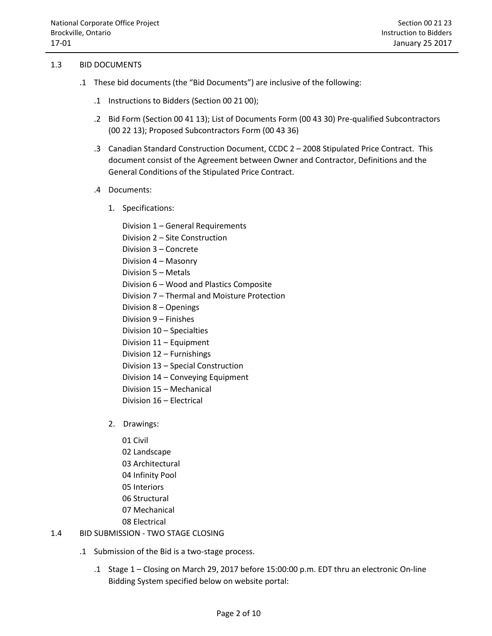## 1.3 BID DOCUMENTS

- .1 These bid documents (the "Bid Documents") are inclusive of the following:
	- .1 Instructions to Bidders (Section 00 21 00);
	- .2 Bid Form (Section 00 41 13); List of Documents Form (00 43 30) Pre-qualified Subcontractors (00 22 13); Proposed Subcontractors Form (00 43 36)
	- .3 Canadian Standard Construction Document, CCDC 2 2008 Stipulated Price Contract. This document consist of the Agreement between Owner and Contractor, Definitions and the General Conditions of the Stipulated Price Contract.
	- .4 Documents:
		- 1. Specifications:
			- Division 1 General Requirements
			- Division 2 Site Construction
			- Division 3 Concrete
			- Division 4 Masonry
			- Division 5 Metals
			- Division 6 Wood and Plastics Composite
			- Division 7 Thermal and Moisture Protection
			- Division 8 Openings
			- Division 9 Finishes
			- Division 10 Specialties
			- Division 11 Equipment
			- Division 12 Furnishings
			- Division 13 Special Construction
			- Division 14 Conveying Equipment
			- Division 15 Mechanical
			- Division 16 Electrical
		- 2. Drawings:
			- 01 Civil 02 Landscape 03 Architectural 04 Infinity Pool 05 Interiors 06 Structural 07 Mechanical 08 Electrical
- 1.4 BID SUBMISSION TWO STAGE CLOSING
	- .1 Submission of the Bid is a two-stage process.
		- .1 Stage 1 Closing on March 29, 2017 before 15:00:00 p.m. EDT thru an electronic On-line Bidding System specified below on website portal: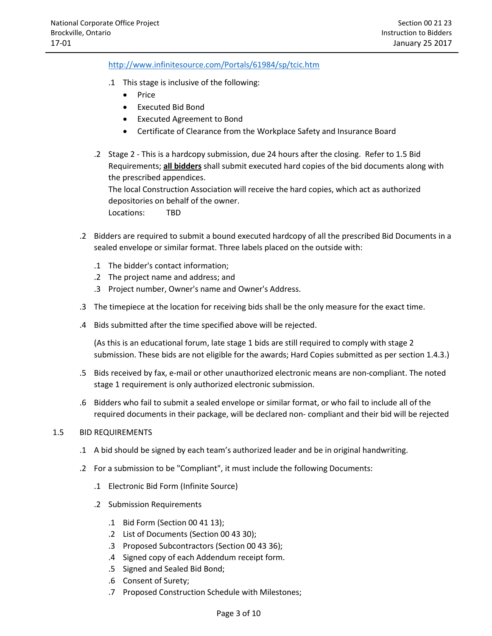<http://www.infinitesource.com/Portals/61984/sp/tcic.htm>

- .1 This stage is inclusive of the following:
	- Price
	- Executed Bid Bond
	- Executed Agreement to Bond
	- Certificate of Clearance from the Workplace Safety and Insurance Board
- .2 Stage 2 This is a hardcopy submission, due 24 hours after the closing. Refer to 1.5 Bid Requirements; **all bidders** shall submit executed hard copies of the bid documents along with the prescribed appendices. The local Construction Association will receive the hard copies, which act as authorized depositories on behalf of the owner.

Locations: TBD

- .2 Bidders are required to submit a bound executed hardcopy of all the prescribed Bid Documents in a sealed envelope or similar format. Three labels placed on the outside with:
	- .1 The bidder's contact information;
	- .2 The project name and address; and
	- .3 Project number, Owner's name and Owner's Address.
- .3 The timepiece at the location for receiving bids shall be the only measure for the exact time.
- .4 Bids submitted after the time specified above will be rejected.

(As this is an educational forum, late stage 1 bids are still required to comply with stage 2 submission. These bids are not eligible for the awards; Hard Copies submitted as per section 1.4.3.)

- .5 Bids received by fax, e-mail or other unauthorized electronic means are non-compliant. The noted stage 1 requirement is only authorized electronic submission.
- .6 Bidders who fail to submit a sealed envelope or similar format, or who fail to include all of the required documents in their package, will be declared non- compliant and their bid will be rejected

#### 1.5 BID REQUIREMENTS

- .1 A bid should be signed by each team's authorized leader and be in original handwriting.
- .2 For a submission to be "Compliant", it must include the following Documents:
	- .1 Electronic Bid Form (Infinite Source)
	- .2 Submission Requirements
		- .1 Bid Form (Section 00 41 13);
		- .2 List of Documents (Section 00 43 30);
		- .3 Proposed Subcontractors (Section 00 43 36);
		- .4 Signed copy of each Addendum receipt form.
		- .5 Signed and Sealed Bid Bond;
		- .6 Consent of Surety;
		- .7 Proposed Construction Schedule with Milestones;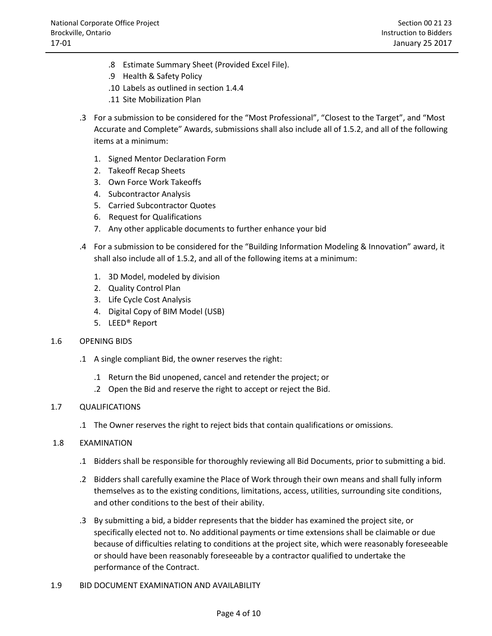- .8 Estimate Summary Sheet (Provided Excel File).
- .9 Health & Safety Policy
- .10 Labels as outlined in section 1.4.4
- .11 Site Mobilization Plan
- .3 For a submission to be considered for the "Most Professional", "Closest to the Target", and "Most Accurate and Complete" Awards, submissions shall also include all of 1.5.2, and all of the following items at a minimum:
	- 1. Signed Mentor Declaration Form
	- 2. Takeoff Recap Sheets
	- 3. Own Force Work Takeoffs
	- 4. Subcontractor Analysis
	- 5. Carried Subcontractor Quotes
	- 6. Request for Qualifications
	- 7. Any other applicable documents to further enhance your bid
- .4 For a submission to be considered for the "Building Information Modeling & Innovation" award, it shall also include all of 1.5.2, and all of the following items at a minimum:
	- 1. 3D Model, modeled by division
	- 2. Quality Control Plan
	- 3. Life Cycle Cost Analysis
	- 4. Digital Copy of BIM Model (USB)
	- 5. LEED® Report

# 1.6 OPENING BIDS

- .1 A single compliant Bid, the owner reserves the right:
	- .1 Return the Bid unopened, cancel and retender the project; or
	- .2 Open the Bid and reserve the right to accept or reject the Bid.

# 1.7 QUALIFICATIONS

.1 The Owner reserves the right to reject bids that contain qualifications or omissions.

# 1.8 EXAMINATION

- .1 Bidders shall be responsible for thoroughly reviewing all Bid Documents, prior to submitting a bid.
- .2 Bidders shall carefully examine the Place of Work through their own means and shall fully inform themselves as to the existing conditions, limitations, access, utilities, surrounding site conditions, and other conditions to the best of their ability.
- .3 By submitting a bid, a bidder represents that the bidder has examined the project site, or specifically elected not to. No additional payments or time extensions shall be claimable or due because of difficulties relating to conditions at the project site, which were reasonably foreseeable or should have been reasonably foreseeable by a contractor qualified to undertake the performance of the Contract.
- 1.9 BID DOCUMENT EXAMINATION AND AVAILABILITY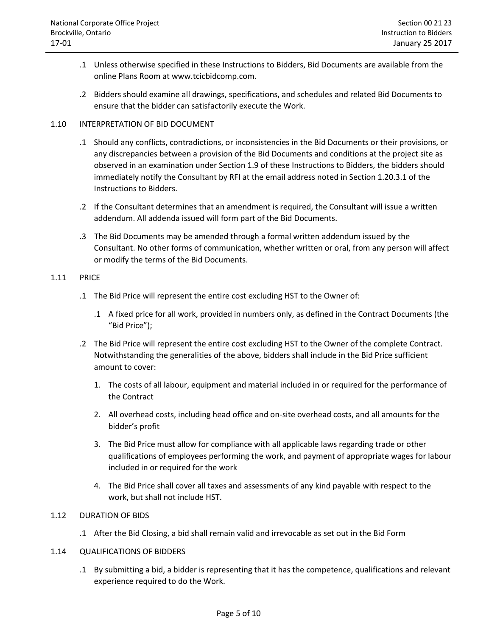- .1 Unless otherwise specified in these Instructions to Bidders, Bid Documents are available from the online Plans Room at www.tcicbidcomp.com.
- .2 Bidders should examine all drawings, specifications, and schedules and related Bid Documents to ensure that the bidder can satisfactorily execute the Work.

## 1.10 INTERPRETATION OF BID DOCUMENT

- .1 Should any conflicts, contradictions, or inconsistencies in the Bid Documents or their provisions, or any discrepancies between a provision of the Bid Documents and conditions at the project site as observed in an examination under Section 1.9 of these Instructions to Bidders, the bidders should immediately notify the Consultant by RFI at the email address noted in Section 1.20.3.1 of the Instructions to Bidders.
- .2 If the Consultant determines that an amendment is required, the Consultant will issue a written addendum. All addenda issued will form part of the Bid Documents.
- .3 The Bid Documents may be amended through a formal written addendum issued by the Consultant. No other forms of communication, whether written or oral, from any person will affect or modify the terms of the Bid Documents.

#### 1.11 PRICE

- .1 The Bid Price will represent the entire cost excluding HST to the Owner of:
	- .1 A fixed price for all work, provided in numbers only, as defined in the Contract Documents (the "Bid Price");
- .2 The Bid Price will represent the entire cost excluding HST to the Owner of the complete Contract. Notwithstanding the generalities of the above, bidders shall include in the Bid Price sufficient amount to cover:
	- 1. The costs of all labour, equipment and material included in or required for the performance of the Contract
	- 2. All overhead costs, including head office and on-site overhead costs, and all amounts for the bidder's profit
	- 3. The Bid Price must allow for compliance with all applicable laws regarding trade or other qualifications of employees performing the work, and payment of appropriate wages for labour included in or required for the work
	- 4. The Bid Price shall cover all taxes and assessments of any kind payable with respect to the work, but shall not include HST.

# 1.12 DURATION OF BIDS

.1 After the Bid Closing, a bid shall remain valid and irrevocable as set out in the Bid Form

#### 1.14 QUALIFICATIONS OF BIDDERS

.1 By submitting a bid, a bidder is representing that it has the competence, qualifications and relevant experience required to do the Work.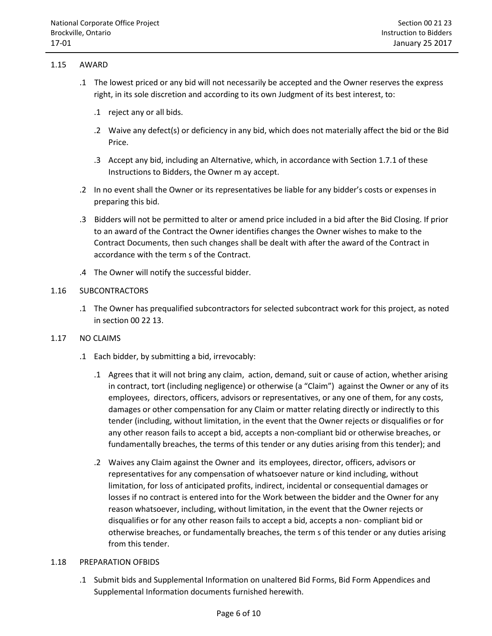## 1.15 AWARD

- .1 The lowest priced or any bid will not necessarily be accepted and the Owner reserves the express right, in its sole discretion and according to its own Judgment of its best interest, to:
	- .1 reject any or all bids.
	- .2 Waive any defect(s) or deficiency in any bid, which does not materially affect the bid or the Bid Price.
	- .3 Accept any bid, including an Alternative, which, in accordance with Section 1.7.1 of these Instructions to Bidders, the Owner m ay accept.
- .2 In no event shall the Owner or its representatives be liable for any bidder's costs or expenses in preparing this bid.
- .3 Bidders will not be permitted to alter or amend price included in a bid after the Bid Closing. If prior to an award of the Contract the Owner identifies changes the Owner wishes to make to the Contract Documents, then such changes shall be dealt with after the award of the Contract in accordance with the term s of the Contract.
- .4 The Owner will notify the successful bidder.

## 1.16 SUBCONTRACTORS

.1 The Owner has prequalified subcontractors for selected subcontract work for this project, as noted in section 00 22 13.

# 1.17 NO CLAIMS

- .1 Each bidder, by submitting a bid, irrevocably:
	- .1 Agrees that it will not bring any claim, action, demand, suit or cause of action, whether arising in contract, tort (including negligence) or otherwise (a "Claim") against the Owner or any of its employees, directors, officers, advisors or representatives, or any one of them, for any costs, damages or other compensation for any Claim or matter relating directly or indirectly to this tender (including, without limitation, in the event that the Owner rejects or disqualifies or for any other reason fails to accept a bid, accepts a non-compliant bid or otherwise breaches, or fundamentally breaches, the terms of this tender or any duties arising from this tender); and
	- .2 Waives any Claim against the Owner and its employees, director, officers, advisors or representatives for any compensation of whatsoever nature or kind including, without limitation, for loss of anticipated profits, indirect, incidental or consequential damages or losses if no contract is entered into for the Work between the bidder and the Owner for any reason whatsoever, including, without limitation, in the event that the Owner rejects or disqualifies or for any other reason fails to accept a bid, accepts a non- compliant bid or otherwise breaches, or fundamentally breaches, the term s of this tender or any duties arising from this tender.

#### 1.18 PREPARATION OFBIDS

.1 Submit bids and Supplemental Information on unaltered Bid Forms, Bid Form Appendices and Supplemental Information documents furnished herewith.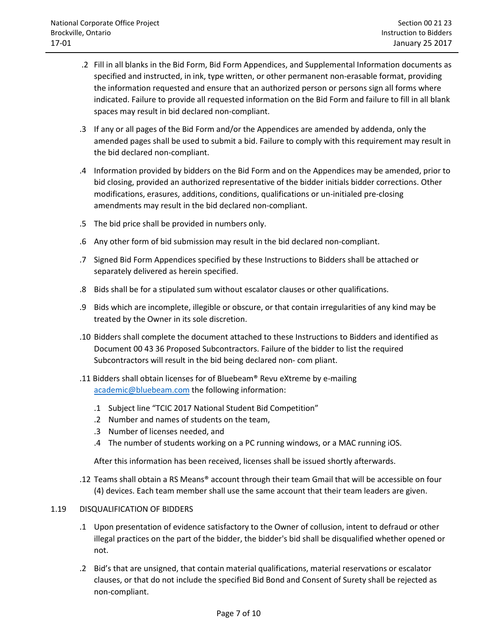- .2 Fill in all blanks in the Bid Form, Bid Form Appendices, and Supplemental Information documents as specified and instructed, in ink, type written, or other permanent non-erasable format, providing the information requested and ensure that an authorized person or persons sign all forms where indicated. Failure to provide all requested information on the Bid Form and failure to fill in all blank spaces may result in bid declared non-compliant.
- .3 If any or all pages of the Bid Form and/or the Appendices are amended by addenda, only the amended pages shall be used to submit a bid. Failure to comply with this requirement may result in the bid declared non-compliant.
- .4 Information provided by bidders on the Bid Form and on the Appendices may be amended, prior to bid closing, provided an authorized representative of the bidder initials bidder corrections. Other modifications, erasures, additions, conditions, qualifications or un-initialed pre-closing amendments may result in the bid declared non-compliant.
- .5 The bid price shall be provided in numbers only.
- .6 Any other form of bid submission may result in the bid declared non-compliant.
- .7 Signed Bid Form Appendices specified by these Instructions to Bidders shall be attached or separately delivered as herein specified.
- .8 Bids shall be for a stipulated sum without escalator clauses or other qualifications.
- .9 Bids which are incomplete, illegible or obscure, or that contain irregularities of any kind may be treated by the Owner in its sole discretion.
- .10 Bidders shall complete the document attached to these Instructions to Bidders and identified as Document 00 43 36 Proposed Subcontractors. Failure of the bidder to list the required Subcontractors will result in the bid being declared non- com pliant.
- .11 Bidders shall obtain licenses for of Bluebeam® Revu eXtreme by e-mailing [academic@bluebeam.com](mailto:academic@bluebeam.com) the following information:
	- .1 Subject line "TCIC 2017 National Student Bid Competition"
	- .2 Number and names of students on the team,
	- .3 Number of licenses needed, and
	- .4 The number of students working on a PC running windows, or a MAC running iOS.

After this information has been received, licenses shall be issued shortly afterwards.

.12 Teams shall obtain a RS Means® account through their team Gmail that will be accessible on four (4) devices. Each team member shall use the same account that their team leaders are given.

# 1.19 DISQUALIFICATION OF BIDDERS

- .1 Upon presentation of evidence satisfactory to the Owner of collusion, intent to defraud or other illegal practices on the part of the bidder, the bidder's bid shall be disqualified whether opened or not.
- .2 Bid's that are unsigned, that contain material qualifications, material reservations or escalator clauses, or that do not include the specified Bid Bond and Consent of Surety shall be rejected as non-compliant.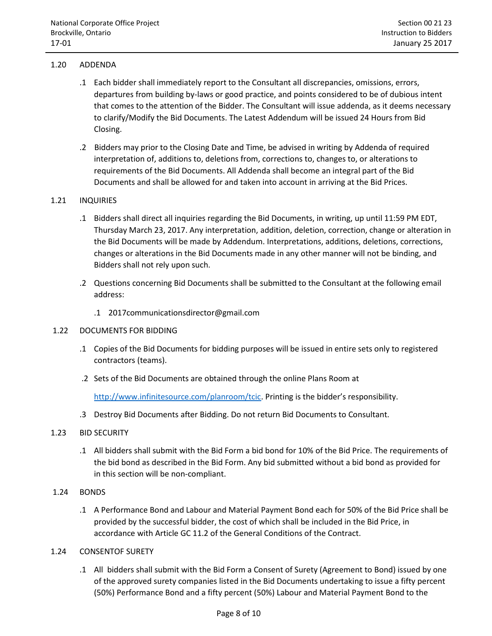# 1.20 ADDENDA

- .1 Each bidder shall immediately report to the Consultant all discrepancies, omissions, errors, departures from building by-laws or good practice, and points considered to be of dubious intent that comes to the attention of the Bidder. The Consultant will issue addenda, as it deems necessary to clarify/Modify the Bid Documents. The Latest Addendum will be issued 24 Hours from Bid Closing.
- .2 Bidders may prior to the Closing Date and Time, be advised in writing by Addenda of required interpretation of, additions to, deletions from, corrections to, changes to, or alterations to requirements of the Bid Documents. All Addenda shall become an integral part of the Bid Documents and shall be allowed for and taken into account in arriving at the Bid Prices.

# 1.21 INQUIRIES

- .1 Bidders shall direct all inquiries regarding the Bid Documents, in writing, up until 11:59 PM EDT, Thursday March 23, 2017. Any interpretation, addition, deletion, correction, change or alteration in the Bid Documents will be made by Addendum. Interpretations, additions, deletions, corrections, changes or alterations in the Bid Documents made in any other manner will not be binding, and Bidders shall not rely upon such.
- .2 Questions concerning Bid Documents shall be submitted to the Consultant at the following email address:
	- .1 2017communicationsdirector@gmail.com

# 1.22 DOCUMENTS FOR BIDDING

- .1 Copies of the Bid Documents for bidding purposes will be issued in entire sets only to registered contractors (teams).
- .2 Sets of the Bid Documents are obtained through the online Plans Room at

[http://www.infinitesource.com/planroom/tcic.](http://www.infinitesource.com/planroom/tcic) Printing is the bidder's responsibility.

.3 Destroy Bid Documents after Bidding. Do not return Bid Documents to Consultant.

# 1.23 BID SECURITY

.1 All bidders shall submit with the Bid Form a bid bond for 10% of the Bid Price. The requirements of the bid bond as described in the Bid Form. Any bid submitted without a bid bond as provided for in this section will be non-compliant.

# 1.24 BONDS

- .1 A Performance Bond and Labour and Material Payment Bond each for 50% of the Bid Price shall be provided by the successful bidder, the cost of which shall be included in the Bid Price, in accordance with Article GC 11.2 of the General Conditions of the Contract.
- 1.24 CONSENTOF SURETY
	- .1 All bidders shall submit with the Bid Form a Consent of Surety (Agreement to Bond) issued by one of the approved surety companies listed in the Bid Documents undertaking to issue a fifty percent (50%) Performance Bond and a fifty percent (50%) Labour and Material Payment Bond to the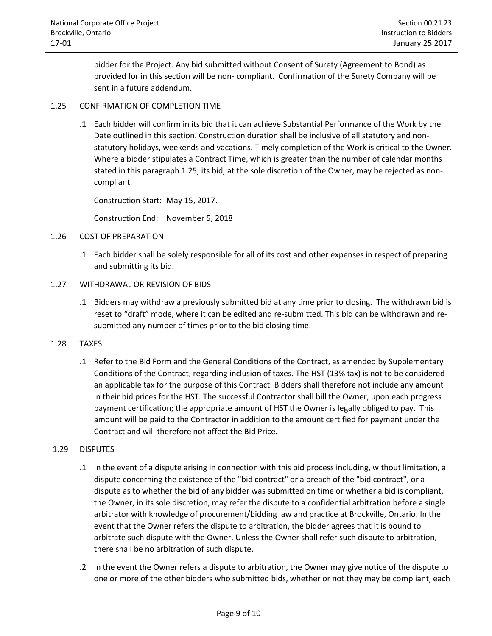bidder for the Project. Any bid submitted without Consent of Surety (Agreement to Bond) as provided for in this section will be non- compliant. Confirmation of the Surety Company will be sent in a future addendum.

# 1.25 CONFIRMATION OF COMPLETION TIME

.1 Each bidder will confirm in its bid that it can achieve Substantial Performance of the Work by the Date outlined in this section. Construction duration shall be inclusive of all statutory and nonstatutory holidays, weekends and vacations. Timely completion of the Work is critical to the Owner. Where a bidder stipulates a Contract Time, which is greater than the number of calendar months stated in this paragraph 1.25, its bid, at the sole discretion of the Owner, may be rejected as noncompliant.

Construction Start: May 15, 2017.

Construction End: November 5, 2018

## 1.26 COST OF PREPARATION

- .1 Each bidder shall be solely responsible for all of its cost and other expenses in respect of preparing and submitting its bid.
- 1.27 WITHDRAWAL OR REVISION OF BIDS
	- .1 Bidders may withdraw a previously submitted bid at any time prior to closing. The withdrawn bid is reset to "draft" mode, where it can be edited and re-submitted. This bid can be withdrawn and resubmitted any number of times prior to the bid closing time.
- 1.28 TAXES
	- .1 Refer to the Bid Form and the General Conditions of the Contract, as amended by Supplementary Conditions of the Contract, regarding inclusion of taxes. The HST (13% tax) is not to be considered an applicable tax for the purpose of this Contract. Bidders shall therefore not include any amount in their bid prices for the HST. The successful Contractor shall bill the Owner, upon each progress payment certification; the appropriate amount of HST the Owner is legally obliged to pay. This amount will be paid to the Contractor in addition to the amount certified for payment under the Contract and will therefore not affect the Bid Price.

#### 1.29 DISPUTES

- .1 In the event of a dispute arising in connection with this bid process including, without limitation, a dispute concerning the existence of the "bid contract" or a breach of the "bid contract", or a dispute as to whether the bid of any bidder was submitted on time or whether a bid is compliant, the Owner, in its sole discretion, may refer the dispute to a confidential arbitration before a single arbitrator with knowledge of procurement/bidding law and practice at Brockville, Ontario. In the event that the Owner refers the dispute to arbitration, the bidder agrees that it is bound to arbitrate such dispute with the Owner. Unless the Owner shall refer such dispute to arbitration, there shall be no arbitration of such dispute.
- .2 In the event the Owner refers a dispute to arbitration, the Owner may give notice of the dispute to one or more of the other bidders who submitted bids, whether or not they may be compliant, each